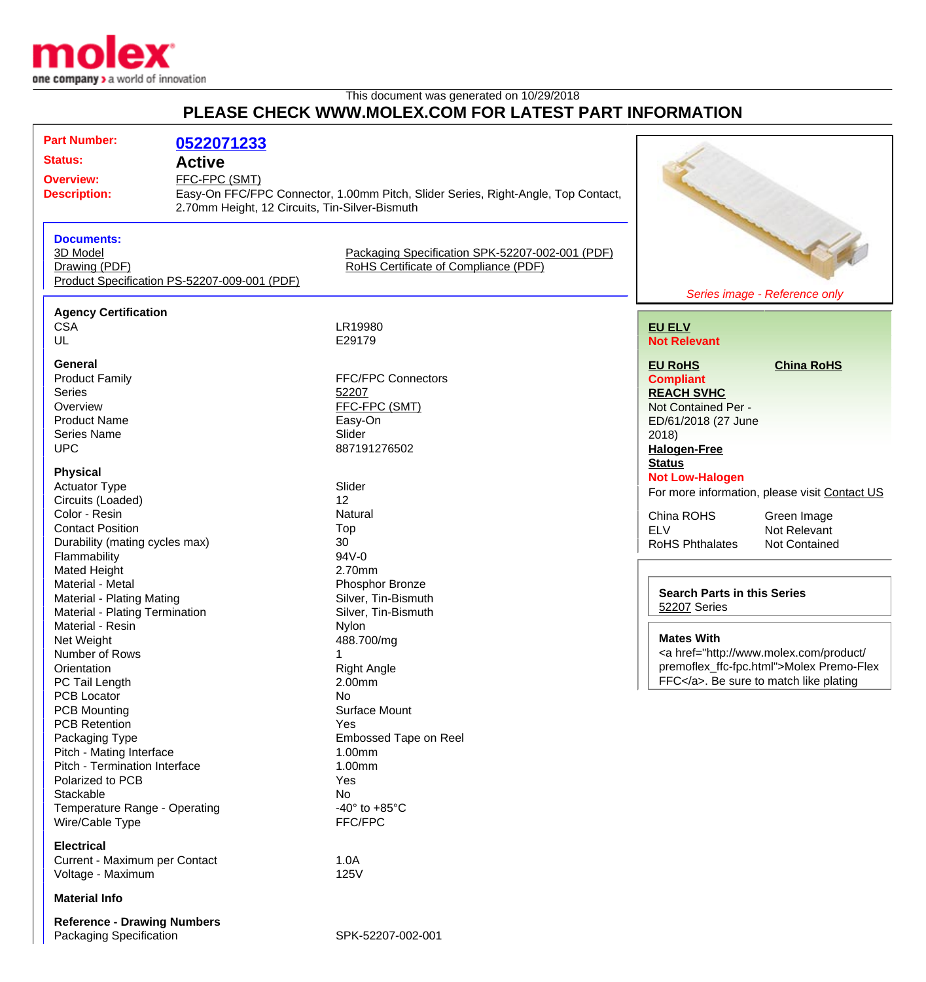

## This document was generated on 10/29/2018 **PLEASE CHECK WWW.MOLEX.COM FOR LATEST PART INFORMATION**

| <b>Part Number:</b>              |                                                |                                                                                   |                                                    |                                                                                                                                                                                                                                                           |
|----------------------------------|------------------------------------------------|-----------------------------------------------------------------------------------|----------------------------------------------------|-----------------------------------------------------------------------------------------------------------------------------------------------------------------------------------------------------------------------------------------------------------|
|                                  | 0522071233                                     |                                                                                   |                                                    |                                                                                                                                                                                                                                                           |
| <b>Status:</b>                   | <b>Active</b>                                  |                                                                                   |                                                    |                                                                                                                                                                                                                                                           |
| <b>Overview:</b>                 | FFC-FPC (SMT)                                  |                                                                                   |                                                    |                                                                                                                                                                                                                                                           |
| <b>Description:</b>              |                                                | Easy-On FFC/FPC Connector, 1.00mm Pitch, Slider Series, Right-Angle, Top Contact, |                                                    |                                                                                                                                                                                                                                                           |
|                                  | 2.70mm Height, 12 Circuits, Tin-Silver-Bismuth |                                                                                   |                                                    |                                                                                                                                                                                                                                                           |
|                                  |                                                |                                                                                   |                                                    |                                                                                                                                                                                                                                                           |
| <b>Documents:</b>                |                                                |                                                                                   |                                                    |                                                                                                                                                                                                                                                           |
| 3D Model                         |                                                | Packaging Specification SPK-52207-002-001 (PDF)                                   |                                                    |                                                                                                                                                                                                                                                           |
| Drawing (PDF)                    |                                                | RoHS Certificate of Compliance (PDF)                                              |                                                    |                                                                                                                                                                                                                                                           |
|                                  | Product Specification PS-52207-009-001 (PDF)   |                                                                                   |                                                    |                                                                                                                                                                                                                                                           |
|                                  |                                                | Series image - Reference only                                                     |                                                    |                                                                                                                                                                                                                                                           |
| <b>Agency Certification</b>      |                                                |                                                                                   |                                                    |                                                                                                                                                                                                                                                           |
| <b>CSA</b>                       |                                                | LR19980                                                                           | <b>EU ELV</b>                                      |                                                                                                                                                                                                                                                           |
| UL                               |                                                | E29179                                                                            | <b>Not Relevant</b>                                |                                                                                                                                                                                                                                                           |
|                                  |                                                |                                                                                   |                                                    |                                                                                                                                                                                                                                                           |
| <b>General</b>                   |                                                |                                                                                   | <b>EU RoHS</b>                                     | <b>China RoHS</b>                                                                                                                                                                                                                                         |
| <b>Product Family</b>            |                                                | <b>FFC/FPC Connectors</b>                                                         | <b>Compliant</b>                                   |                                                                                                                                                                                                                                                           |
| <b>Series</b>                    |                                                | 52207                                                                             | <b>REACH SVHC</b>                                  |                                                                                                                                                                                                                                                           |
| Overview                         |                                                | FFC-FPC (SMT)                                                                     | Not Contained Per -                                |                                                                                                                                                                                                                                                           |
| <b>Product Name</b>              |                                                | Easy-On                                                                           | ED/61/2018 (27 June                                |                                                                                                                                                                                                                                                           |
| Series Name                      |                                                | Slider                                                                            | 2018)                                              |                                                                                                                                                                                                                                                           |
| <b>UPC</b>                       |                                                | 887191276502                                                                      | <b>Halogen-Free</b>                                |                                                                                                                                                                                                                                                           |
|                                  |                                                |                                                                                   | <b>Status</b>                                      |                                                                                                                                                                                                                                                           |
| <b>Physical</b>                  |                                                |                                                                                   | <b>Not Low-Halogen</b>                             |                                                                                                                                                                                                                                                           |
| <b>Actuator Type</b>             |                                                | Slider                                                                            |                                                    | For more information, please visit Contact US                                                                                                                                                                                                             |
| Circuits (Loaded)                |                                                | 12 <sup>2</sup>                                                                   |                                                    |                                                                                                                                                                                                                                                           |
| Color - Resin                    |                                                | Natural                                                                           | China ROHS                                         | Green Image                                                                                                                                                                                                                                               |
| <b>Contact Position</b>          |                                                | Top                                                                               | <b>ELV</b>                                         | Not Relevant                                                                                                                                                                                                                                              |
| Durability (mating cycles max)   |                                                | 30                                                                                | <b>RoHS Phthalates</b>                             | <b>Not Contained</b>                                                                                                                                                                                                                                      |
| Flammability                     |                                                | 94V-0                                                                             |                                                    |                                                                                                                                                                                                                                                           |
| Mated Height                     |                                                | 2.70mm                                                                            |                                                    |                                                                                                                                                                                                                                                           |
| Material - Metal                 |                                                | Phosphor Bronze                                                                   | <b>Search Parts in this Series</b><br>52207 Series |                                                                                                                                                                                                                                                           |
| <b>Material - Plating Mating</b> |                                                | Silver, Tin-Bismuth                                                               |                                                    |                                                                                                                                                                                                                                                           |
| Material - Plating Termination   |                                                | Silver, Tin-Bismuth                                                               |                                                    |                                                                                                                                                                                                                                                           |
| Material - Resin                 |                                                | Nylon                                                                             |                                                    |                                                                                                                                                                                                                                                           |
| Net Weight                       |                                                | 488.700/mg                                                                        | <b>Mates With</b>                                  |                                                                                                                                                                                                                                                           |
| Number of Rows                   |                                                | 1                                                                                 |                                                    | <a href="http://www.molex.com/product/&lt;/td&gt;&lt;/tr&gt;&lt;tr&gt;&lt;td&gt;Orientation&lt;/td&gt;&lt;td&gt;&lt;/td&gt;&lt;td&gt;&lt;b&gt;Right Angle&lt;/b&gt;&lt;/td&gt;&lt;td&gt;&lt;/td&gt;&lt;td&gt;premoflex_ffc-fpc.html">Molex Premo-Flex</a> |
| PC Tail Length                   |                                                | 2.00mm                                                                            |                                                    | FFC. Be sure to match like plating                                                                                                                                                                                                                        |
| <b>PCB Locator</b>               |                                                | No                                                                                |                                                    |                                                                                                                                                                                                                                                           |
| <b>PCB Mounting</b>              |                                                | Surface Mount                                                                     |                                                    |                                                                                                                                                                                                                                                           |
| <b>PCB Retention</b>             |                                                | Yes                                                                               |                                                    |                                                                                                                                                                                                                                                           |
| Packaging Type                   |                                                | Embossed Tape on Reel                                                             |                                                    |                                                                                                                                                                                                                                                           |
| Pitch - Mating Interface         |                                                | 1.00mm                                                                            |                                                    |                                                                                                                                                                                                                                                           |
| Pitch - Termination Interface    |                                                | 1.00mm                                                                            |                                                    |                                                                                                                                                                                                                                                           |
| Polarized to PCB                 |                                                | Yes                                                                               |                                                    |                                                                                                                                                                                                                                                           |
| Stackable                        |                                                | No                                                                                |                                                    |                                                                                                                                                                                                                                                           |
| Temperature Range - Operating    |                                                | -40 $\degree$ to +85 $\degree$ C                                                  |                                                    |                                                                                                                                                                                                                                                           |
| Wire/Cable Type                  |                                                | FFC/FPC                                                                           |                                                    |                                                                                                                                                                                                                                                           |
|                                  |                                                |                                                                                   |                                                    |                                                                                                                                                                                                                                                           |
| <b>Electrical</b>                |                                                |                                                                                   |                                                    |                                                                                                                                                                                                                                                           |
| Current - Maximum per Contact    |                                                | 1.0A                                                                              |                                                    |                                                                                                                                                                                                                                                           |
| Voltage - Maximum                |                                                | 125V                                                                              |                                                    |                                                                                                                                                                                                                                                           |

**Reference - Drawing Numbers** Packaging Specification SPK-52207-002-001

**Material Info**